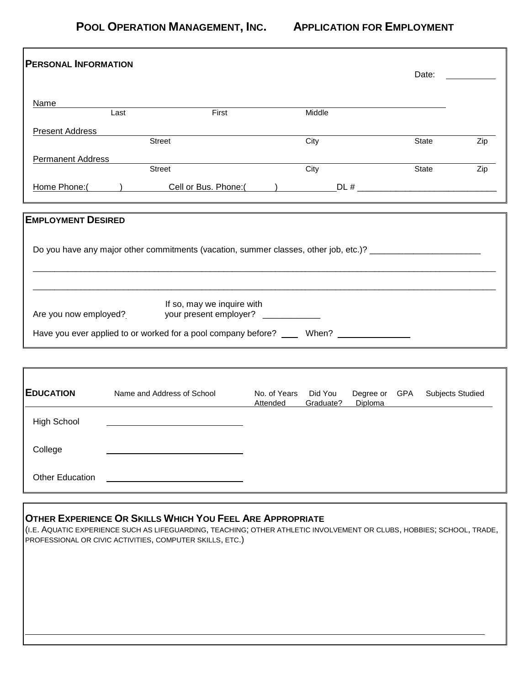| <b>PERSONAL INFORMATION</b> |                                                                                                               |                                                                   |                          |                      |                          |              | Date:                   |     |
|-----------------------------|---------------------------------------------------------------------------------------------------------------|-------------------------------------------------------------------|--------------------------|----------------------|--------------------------|--------------|-------------------------|-----|
| <b>Name</b>                 |                                                                                                               |                                                                   |                          |                      |                          |              |                         |     |
|                             | Last                                                                                                          | First                                                             |                          | Middle               |                          |              |                         |     |
| Present Address             |                                                                                                               |                                                                   |                          |                      |                          |              |                         |     |
|                             | Street                                                                                                        |                                                                   |                          | City                 |                          | <b>State</b> |                         | Zip |
| <b>Permanent Address</b>    |                                                                                                               |                                                                   |                          |                      |                          |              |                         |     |
|                             | <b>Street</b>                                                                                                 |                                                                   |                          | City                 |                          |              | State                   | Zip |
|                             |                                                                                                               |                                                                   |                          |                      |                          |              |                         |     |
|                             |                                                                                                               |                                                                   |                          |                      |                          |              |                         |     |
| <b>EMPLOYMENT DESIRED</b>   |                                                                                                               |                                                                   |                          |                      |                          |              |                         |     |
|                             | Do you have any major other commitments (vacation, summer classes, other job, etc.)? ________________________ |                                                                   |                          |                      |                          |              |                         |     |
| Are you now employed?       | Have you ever applied to or worked for a pool company before? _____ When? _____________                       | If so, may we inquire with<br>your present employer? ____________ |                          |                      |                          |              |                         |     |
|                             |                                                                                                               |                                                                   |                          |                      |                          |              |                         |     |
| <b>EDUCATION</b>            | Name and Address of School                                                                                    |                                                                   | No. of Years<br>Attended | Did You<br>Graduate? | Degree or GPA<br>Diploma |              | <b>Subjects Studied</b> |     |
| <b>High School</b>          |                                                                                                               |                                                                   |                          |                      |                          |              |                         |     |
| College                     |                                                                                                               |                                                                   |                          |                      |                          |              |                         |     |
| <b>Other Education</b>      |                                                                                                               |                                                                   |                          |                      |                          |              |                         |     |
|                             |                                                                                                               |                                                                   |                          |                      |                          |              |                         |     |

## **OTHER EXPERIENCE OR SKILLS WHICH YOU FEEL ARE APPROPRIATE**

(I.E. AQUATIC EXPERIENCE SUCH AS LIFEGUARDING, TEACHING; OTHER ATHLETIC INVOLVEMENT OR CLUBS, HOBBIES; SCHOOL, TRADE, PROFESSIONAL OR CIVIC ACTIVITIES, COMPUTER SKILLS, ETC.)